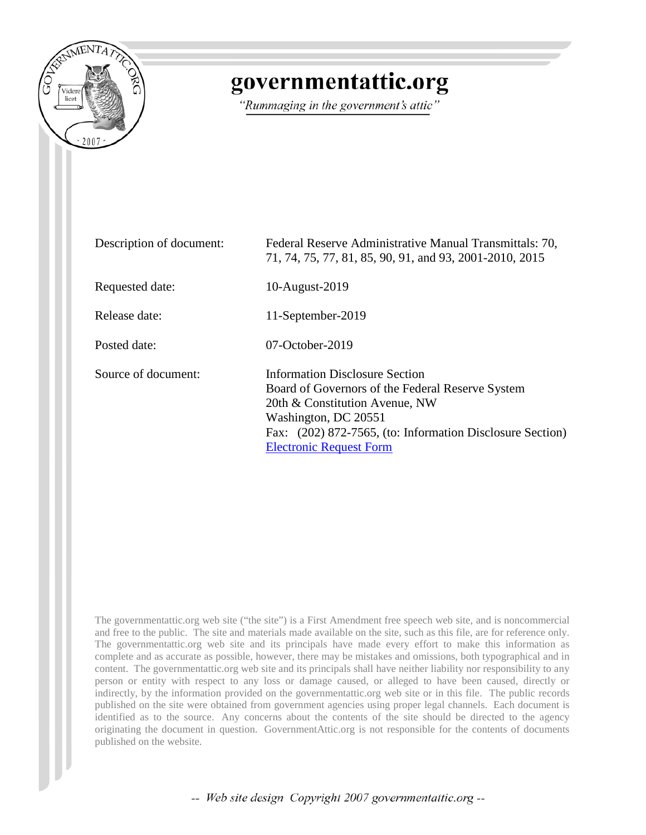

### governmentattic.org

"Rummaging in the government's attic"

| Description of document: | Federal Reserve Administrative Manual Transmittals: 70,<br>71, 74, 75, 77, 81, 85, 90, 91, and 93, 2001-2010, 2015                                                                                                                          |
|--------------------------|---------------------------------------------------------------------------------------------------------------------------------------------------------------------------------------------------------------------------------------------|
| Requested date:          | 10-August-2019                                                                                                                                                                                                                              |
| Release date:            | 11-September-2019                                                                                                                                                                                                                           |
| Posted date:             | $07$ -October-2019                                                                                                                                                                                                                          |
| Source of document:      | Information Disclosure Section<br>Board of Governors of the Federal Reserve System<br>20th & Constitution Avenue, NW<br>Washington, DC 20551<br>Fax: (202) 872-7565, (to: Information Disclosure Section)<br><b>Electronic Request Form</b> |

The governmentattic.org web site ("the site") is a First Amendment free speech web site, and is noncommercial and free to the public. The site and materials made available on the site, such as this file, are for reference only. The governmentattic.org web site and its principals have made every effort to make this information as complete and as accurate as possible, however, there may be mistakes and omissions, both typographical and in content. The governmentattic.org web site and its principals shall have neither liability nor responsibility to any person or entity with respect to any loss or damage caused, or alleged to have been caused, directly or indirectly, by the information provided on the governmentattic.org web site or in this file. The public records published on the site were obtained from government agencies using proper legal channels. Each document is identified as to the source. Any concerns about the contents of the site should be directed to the agency originating the document in question. GovernmentAttic.org is not responsible for the contents of documents published on the website.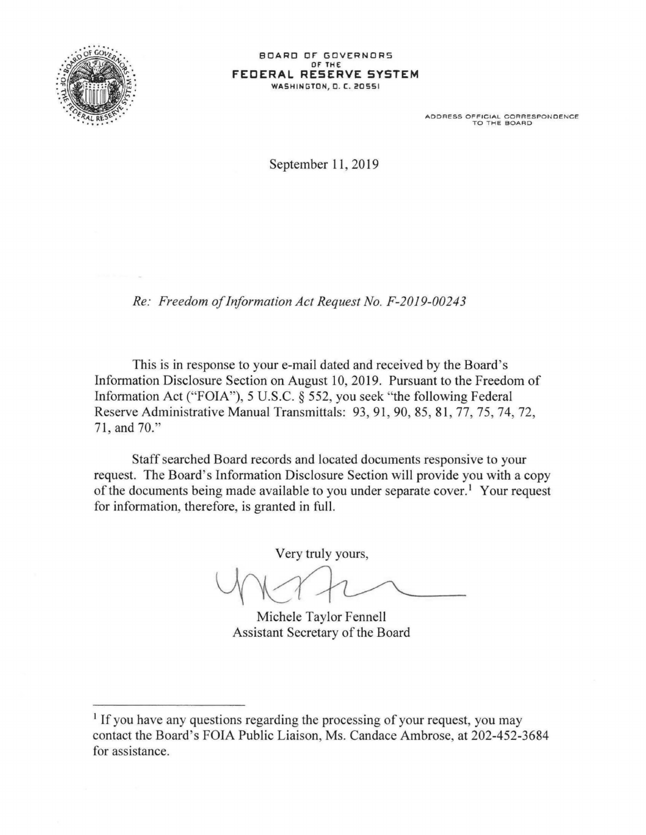

ADDRESS OFFICIAL CORRESPONDENCE<br>TO THE BOARD

September 11, 2019

*Re: Freedom of Information Act Request No. F-2019-00243* 

This is in response to your e-mail dated and received by the Board's Information Disclosure Section on August 10, 2019. Pursuant to the Freedom of Information Act ("FOIA"), 5 U.S.C. § 552, you seek "the following Federal Reserve Administrative Manual Transmittals: 93, 91 , 90, 85, 81 , 77, 75, 74, 72, 71, and 70."

Staff searched Board records and located documents responsive to your request. The Board's Information Disclosure Section will provide you with a copy of the documents being made available to you under separate cover.<sup>1</sup> Your request for information, therefore, is granted in full.

Very truly yours,

Michele Taylor Fennell Assistant Secretary of the Board

<sup>&</sup>lt;sup>1</sup> If you have any questions regarding the processing of your request, you may contact the Board's FOIA Public Liaison, Ms. Candace Ambrose, at 202-452-3684 for assistance.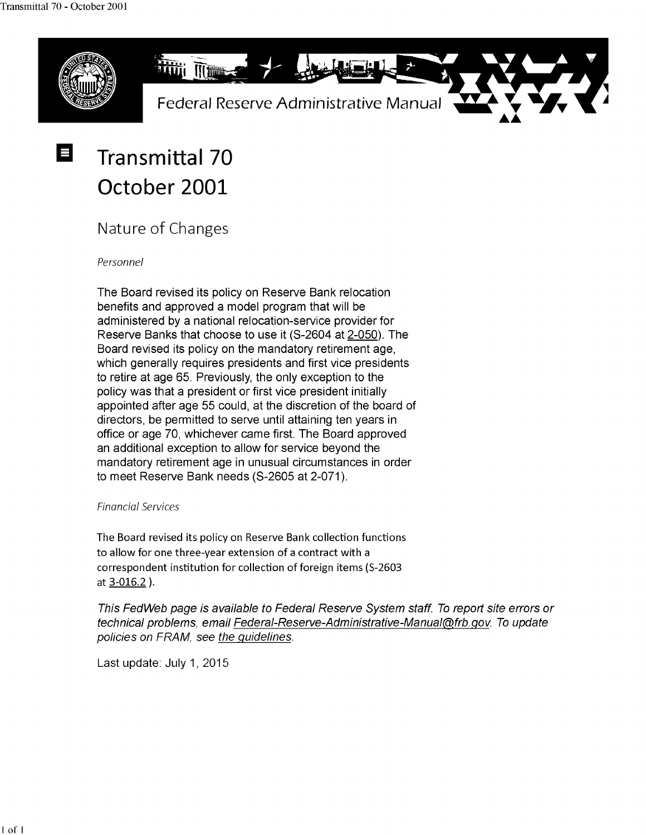

## **Transmittal 70 October 2001**

### Nature of Changes

Personnel

The Board revised its policy on Reserve Bank relocation benefits and approved a model program that will be administered by a national relocation-service provider for Reserve Banks that choose to use it (S-2604 at 2-050). The Board revised its policy on the mandatory retirement age, which generally requires presidents and first vice presidents to retire at age 65. Previously, the only exception to the policy was that a president or first vice president initially appointed after age 55 could, at the discretion of the board of directors, be permitted to serve until attaining ten years in office or age 70, whichever came first. The Board approved an additional exception to allow for service beyond the mandatory retirement age in unusual circumstances in order to meet Reserve Bank needs (S-2605 at 2-071).

#### Financial Services

The Board revised its policy on Reserve Bank collection functions to allow for one three-year extension of a contract with a correspondent institution for collection of foreign items (S-2603 at 3-016.2 ).

This FedWeb page is available to Federal Reserve System staff. To report site errors or technical problems, email Federal-Reserve-Administrative-Manual@frb.gov. To update policies on FRAM, see the guidelines.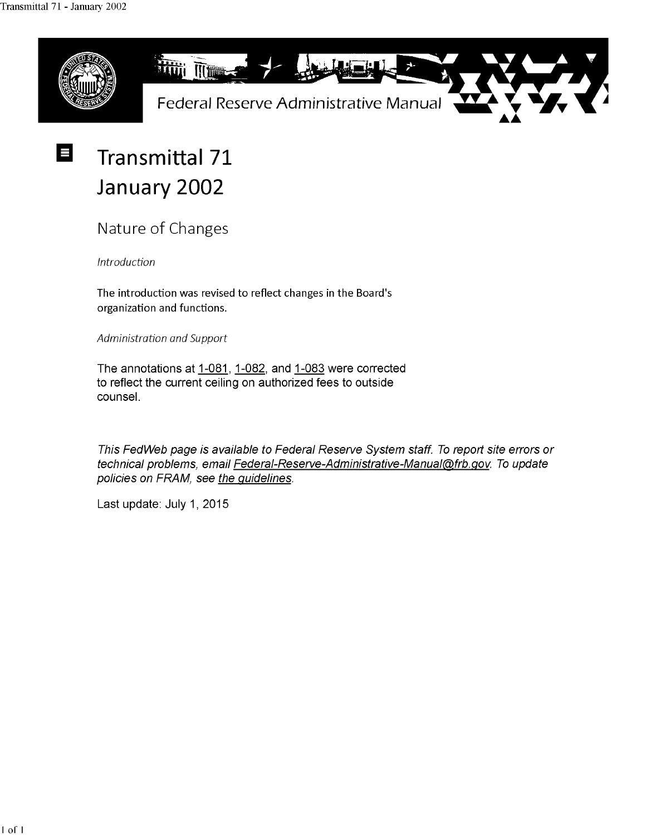E



### **Transmittal 71 January 2002**

Nature of Changes

*Introduction* 

The introduction was revised to reflect changes in the Board's organization and functions.

*Administration and Support* 

The annotations at 1-081, 1-082, and 1-083 were corrected to reflect the current ceiling on authorized fees to outside counsel.

This FedWeb page is available to Federal Reserve System staff. To report site errors or technical problems, email Federal-Reserve-Administrative-Manual@frb.gov. To update policies on FRAM, see the guidelines.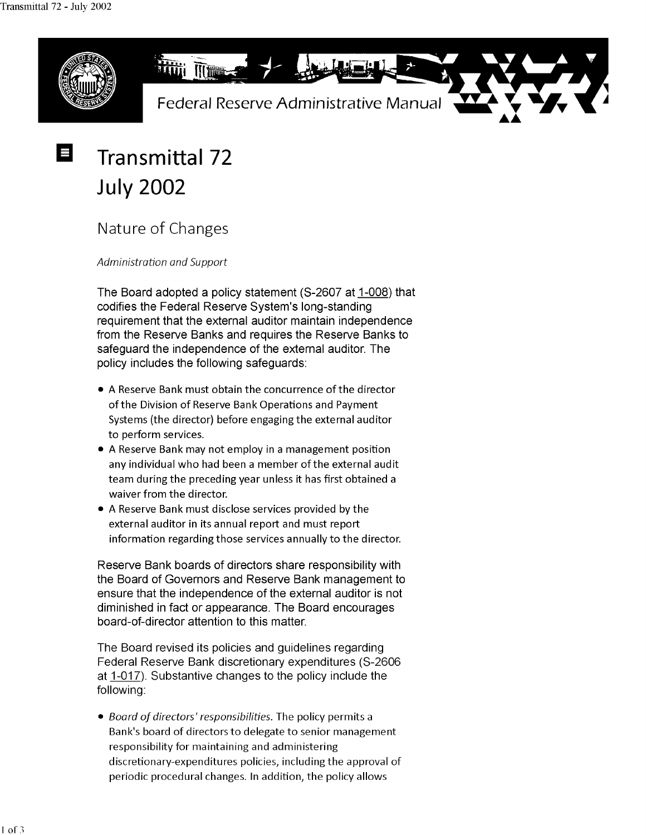

# **Transmittal 72 July 2002**

Nature of Changes

*Administration and Support* 

The Board adopted a policy statement (S-2607 at 1-008) that codifies the Federal Reserve System's long-standing requirement that the external auditor maintain independence from the Reserve Banks and requires the Reserve Banks to safeguard the independence of the external auditor. The policy includes the following safeguards:

- A Reserve Bank must obtain the concurrence of the director of the Division of Reserve Bank Operations and Payment Systems (the director) before engaging the external auditor to perform services.
- A Reserve Bank may not employ in a management position any individual who had been a member of the external audit team during the preceding year unless it has first obtained a waiver from the director.
- A Reserve Bank must disclose services provided by the external auditor in its annual report and must report information regarding those services annually to the director.

Reserve Bank boards of directors share responsibility with the Board of Governors and Reserve Bank management to ensure that the independence of the external auditor is not diminished in fact or appearance. The Board encourages board-of-director attention to this matter.

The Board revised its policies and guidelines regarding Federal Reserve Bank discretionary expenditures (S-2606 at 1-017). Substantive changes to the policy include the following:

• *Board of directors' responsibilities.* The policy permits a Bank's board of directors to delegate to senior management responsibility for maintaining and administering discretionary-expenditures policies, including the approval of periodic procedural changes. In addition, the policy allows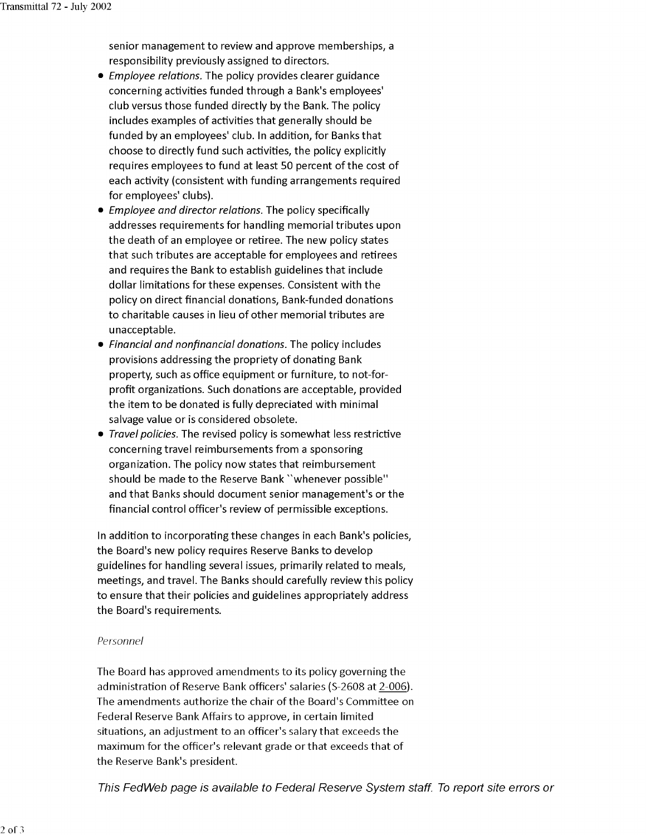senior management to review and approve memberships, a responsibility previously assigned to directors.

- *Employee relations.* The policy provides clearer guidance concerning activities funded through a Bank's employees' club versus those funded directly by the Bank. The policy includes examples of activities that generally should be funded by an employees' club. In addition, for Banks that choose to directly fund such activities, the policy explicitly requires employees to fund at least 50 percent of the cost of each activity (consistent with funding arrangements required for employees' clubs).
- *Employee and director relations.* The policy specifically addresses requirements for handling memorial tributes upon the death of an employee or retiree. The new policy states that such tributes are acceptable for employees and retirees and requires the Bank to establish guidelines that include dollar limitations for these expenses. Consistent with the policy on direct financial donations, Bank-funded donations to charitable causes in lieu of other memorial tributes are unacceptable.
- *Financial and nonfinancial donations.* The policy includes provisions addressing the propriety of donating Bank property, such as office equipment or furniture, to not-forprofit organizations. Such donations are acceptable, provided the item to be donated is fully depreciated with minimal salvage value or is considered obsolete.
- *Travel policies.* The revised policy is somewhat less restrictive concerning travel reimbursements from a sponsoring organization. The policy now states that reimbursement should be made to the Reserve Bank "whenever possible" and that Banks should document senior management's or the financial control officer's review of permissible exceptions.

In addition to incorporating these changes in each Bank's policies, the Board's new policy requires Reserve Banks to develop guidelines for handling several issues, primarily related to meals, meetings, and travel. The Banks should carefully review this policy to ensure that their policies and guidelines appropriately address the Board's requirements.

#### *Personnel*

The Board has approved amendments to its policy governing the administration of Reserve Bank officers' salaries (S-2608 at 2-006). The amendments authorize the chair of the Board's Committee on Federal Reserve Bank Affairs to approve, in certain limited situations, an adjustment to an officer's salary that exceeds the maximum for the officer's relevant grade or that exceeds that of the Reserve Bank's president.

This FedWeb page is available to Federal Reserve System staff. To reporl site errors or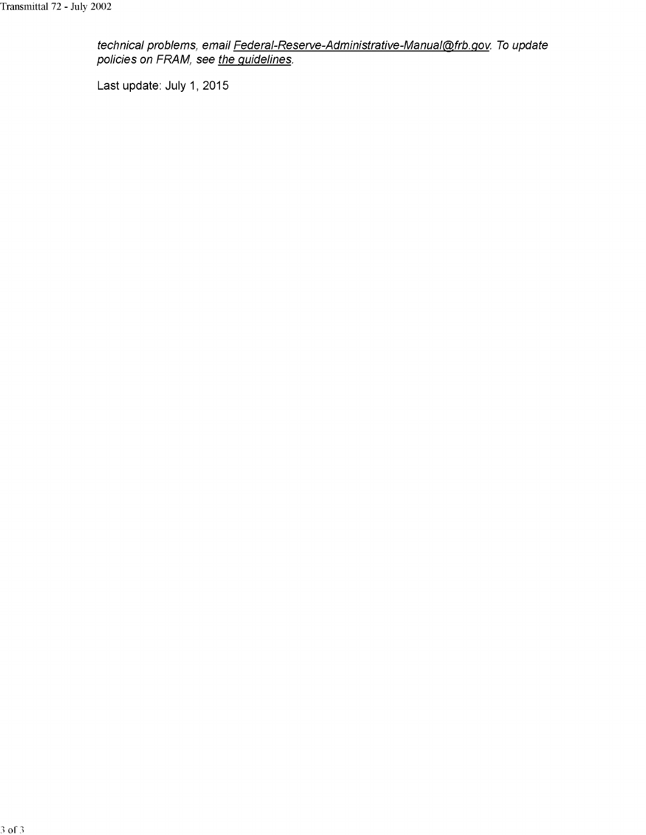technical problems, email <u>Federal-Reserve-Administrative-Manual@frb.gov</u>. To update policies on FRAM, see <u>the guidelines</u>.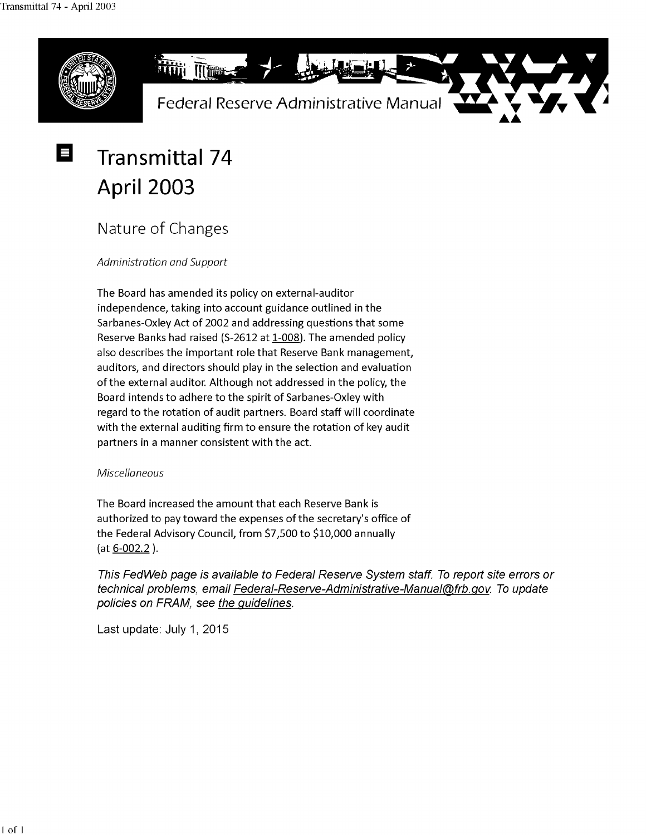

## **Transmittal 74 April 2003**

Nature of Changes

*Administration and Support* 

The Board has amended its policy on external-auditor independence, taking into account guidance outlined in the Sarbanes-Oxley Act of 2002 and addressing questions that some Reserve Banks had raised (S-2612 at 1-008). The amended policy also describes the important role that Reserve Bank management, auditors, and directors should play in the selection and evaluation of the external auditor. Although not addressed in the policy, the Board intends to adhere to the spirit of Sarbanes-Oxley with regard to the rotation of audit partners. Board staff will coordinate with the external auditing firm to ensure the rotation of key audit partners in a manner consistent with the act.

#### *Miscellaneous*

The Board increased the amount that each Reserve Bank is authorized to pay toward the expenses of the secretary's office of the Federal Advisory Council, from \$7,500 to \$10,000 annually (at 6-002.2 ).

This FedWeb page is available to Federal Reserve System staff. To report site errors or technical problems, email Federal-Reserve-Administrative-Manual@frb.gov. To update policies on FRAM, see the guidelines.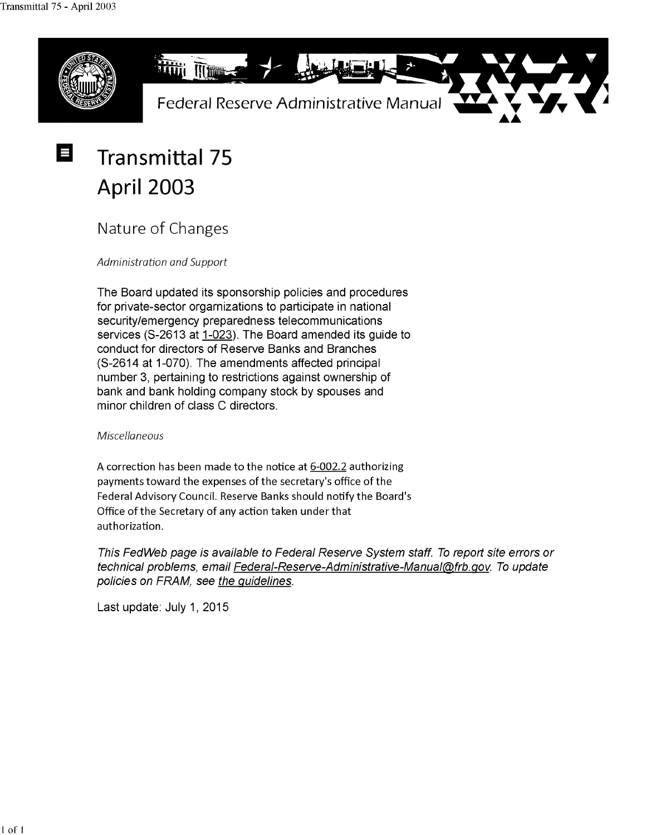

# **Transmittal 75 April 2003**

Nature of Changes

*Administration and Support* 

The Board updated its sponsorship policies and procedures for private-sector orgarnizations to participate in national security/emergency preparedness telecommunications services (S-2613 at 1-023). The Board amended its guide to conduct for directors of Reserve Banks and Branches (S-2614 at 1-070). The amendments affected principal number 3, pertaining to restrictions against ownership of bank and bank holding company stock by spouses and minor children of class C directors.

### *Miscellaneous*

A correction has been made to the notice at 6-002.2 authorizing payments toward the expenses of the secretary's office of the Federal Advisory Council. Reserve Banks should notify the Board's Office of the Secretary of any action taken under that authorization.

This FedWeb page is available to Federal Reserve System staff. To report site errors or technical problems, email Federal-Reserve-Administrative-Manual@frb.gov. To update policies on FRAM, see the guidelines.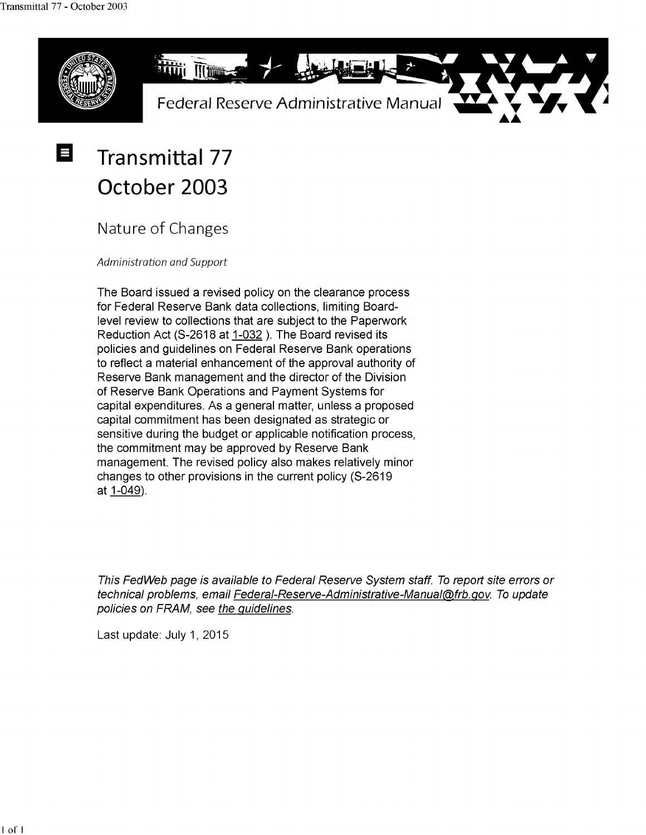Е



## **Transmittal 77 October 2003**

Nature of Changes

*Administration and Support* 

The Board issued a revised policy on the clearance process for Federal Reserve Bank data collections, limiting Boardlevel review to collections that are subject to the Paperwork Reduction Act (S-2618 at 1-032). The Board revised its policies and guidelines on Federal Reserve Bank operations to reflect a material enhancement of the approval authority of Reserve Bank management and the director of the Division of Reserve Bank Operations and Payment Systems for capital expenditures. As a general matter, unless a proposed capital commitment has been designated as strategic or sensitive during the budget or applicable notification process, the commitment may be approved by Reserve Bank management. The revised policy also makes relatively minor changes to other provisions in the current policy (S-2619 at 1-049).

This FedWeb page is available to Federal Reserve System staff. To report site errors or technical problems, email Federal-Reserve-Administrative-Manual@frb.gov. To update policies on FRAM, see the guidelines.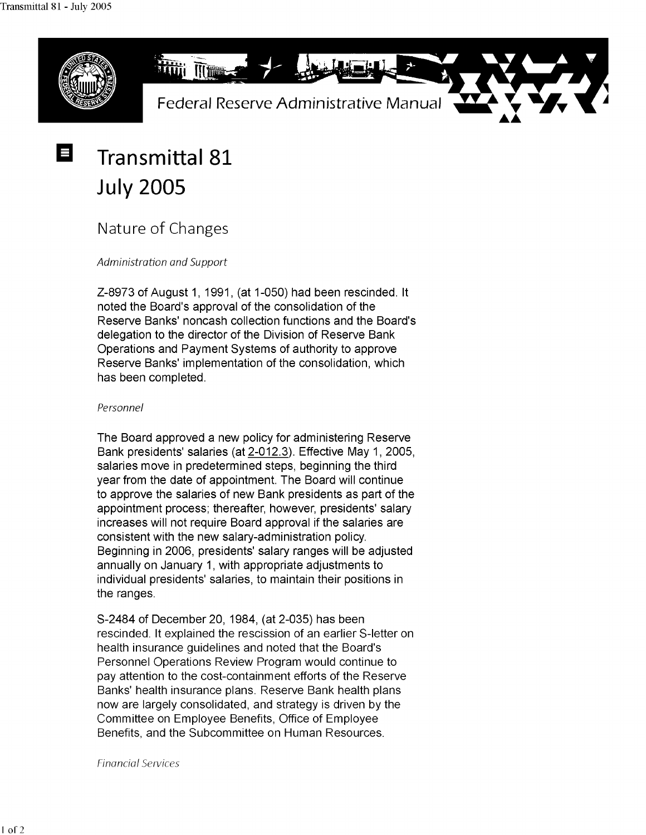E



# **Transmittal 81 July 2005**

Nature of Changes

Administration and Support

Z-8973 of August 1, 1991, (at 1-050) had been rescinded. It noted the Board's approval of the consolidation of the Reserve Banks' noncash collection functions and the Board's delegation to the director of the Division of Reserve Bank Operations and Payment Systems of authority to approve Reserve Banks' implementation of the consolidation, which has been completed.

#### Personnel

The Board approved a new policy for administering Reserve Bank presidents' salaries (at 2-012.3). Effective May 1, 2005, salaries move in predetermined steps, beginning the third year from the date of appointment. The Board will continue to approve the salaries of new Bank presidents as part of the appointment process; thereafter, however, presidents' salary increases will not require Board approval if the salaries are consistent with the new salary-administration policy. Beginning in 2006, presidents' salary ranges will be adjusted annually on January 1, with appropriate adjustments to individual presidents' salaries, to maintain their positions in the ranges.

S-2484 of December 20, 1984, (at 2-035) has been rescinded. It explained the rescission of an earlier S-letter on health insurance guidelines and noted that the Board's Personnel Operations Review Program would continue to pay attention to the cost-containment efforts of the Reserve Banks' health insurance plans. Reserve Bank health plans now are largely consolidated, and strategy is driven by the Committee on Employee Benefits, Office of Employee Benefits, and the Subcommittee on Human Resources.

Financial Services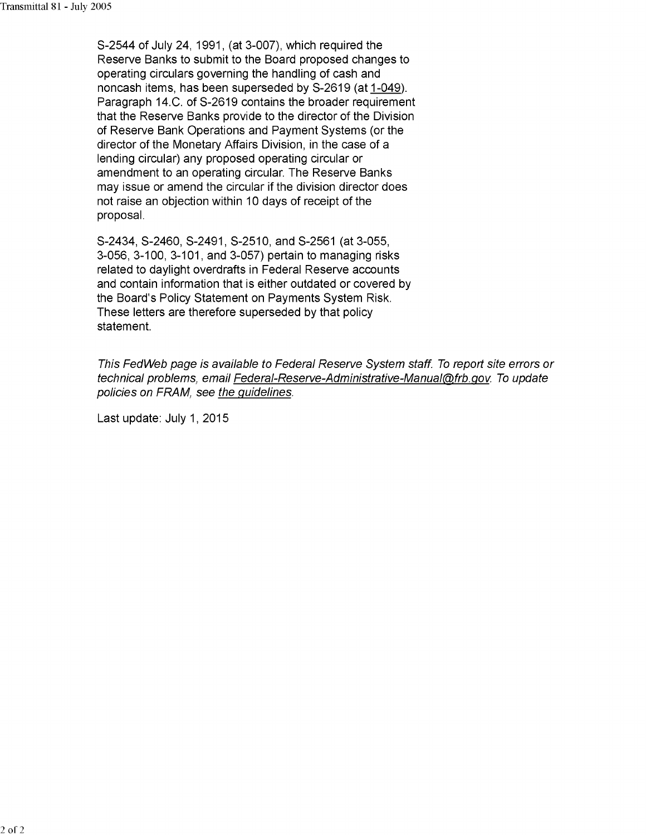S-2544 of July 24, 1991, (at 3-007), which required the Reserve Banks to submit to the Board proposed changes to operating circulars governing the handling of cash and noncash items, has been superseded by S-2619 (at 1-049). Paragraph 14.C. of S-2619 contains the broader requirement that the Reserve Banks provide to the director of the Division of Reserve Bank Operations and Payment Systems (or the director of the Monetary Affairs Division, in the case of a lending circular) any proposed operating circular or amendment to an operating circular. The Reserve Banks may issue or amend the circular if the division director does not raise an objection within 10 days of receipt of the proposal.

S-2434, S-2460, S-2491, S-2510, and S-2561 (at 3-055, 3-056, 3-100, 3-101, and 3-057) pertain to managing risks related to daylight overdrafts in Federal Reserve accounts and contain information that is either outdated or covered by the Board's Policy Statement on Payments System Risk. These letters are therefore superseded by that policy statement.

This FedWeb page is available to Federal Reserve System staff. To report site errors or technical problems, email Federal-Reserve-Administrative-Manual@frb.gov. To update policies on FRAM, see the guidelines.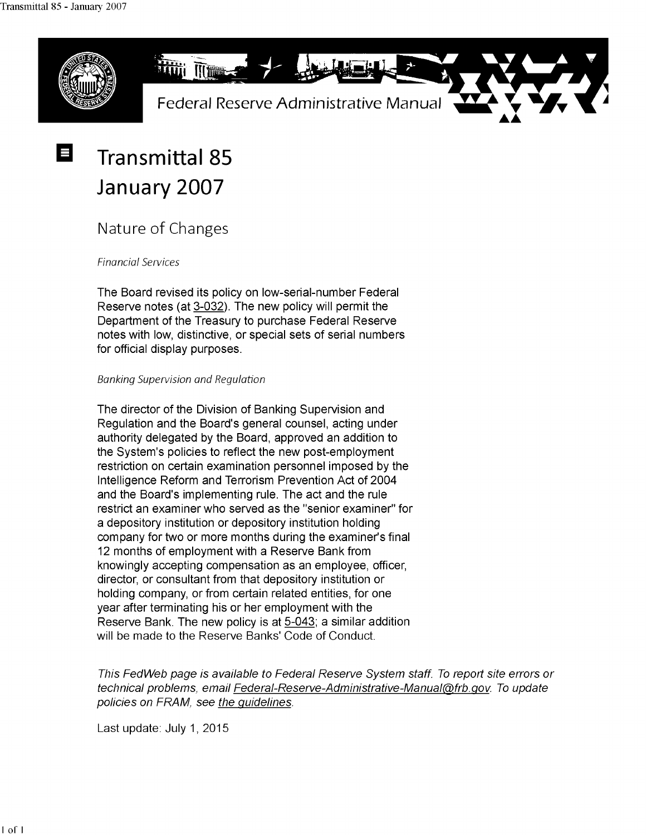

### **Transmittal 85 January 2007**

### Nature of Changes

Financial Services

The Board revised its policy on low-serial-number Federal Reserve notes (at 3-032). The new policy will permit the Department of the Treasury to purchase Federal Reserve notes with low, distinctive, or special sets of serial numbers for official display purposes.

#### Banking Supervision and Regulation

The director of the Division of Banking Supervision and Regulation and the Board's general counsel, acting under authority delegated by the Board, approved an addition to the System's policies to reflect the new post-employment restriction on certain examination personnel imposed by the Intelligence Reform and Terrorism Prevention Act of 2004 and the Board's implementing rule. The act and the rule restrict an examiner who served as the "senior examiner" for a depository institution or depository institution holding company for two or more months during the examiner's final 12 months of employment with a Reserve Bank from knowingly accepting compensation as an employee, officer, director, or consultant from that depository institution or holding company, or from certain related entities, for one year after terminating his or her employment with the Reserve Bank. The new policy is at 5-043; a similar addition will be made to the Reserve Banks' Code of Conduct.

This FedWeb page is available to Federal Reserve System staff. To report site errors or technical problems, email Federal-Reserve-Administrative-Manual@frb.gov. To update policies on FRAM, see the guidelines.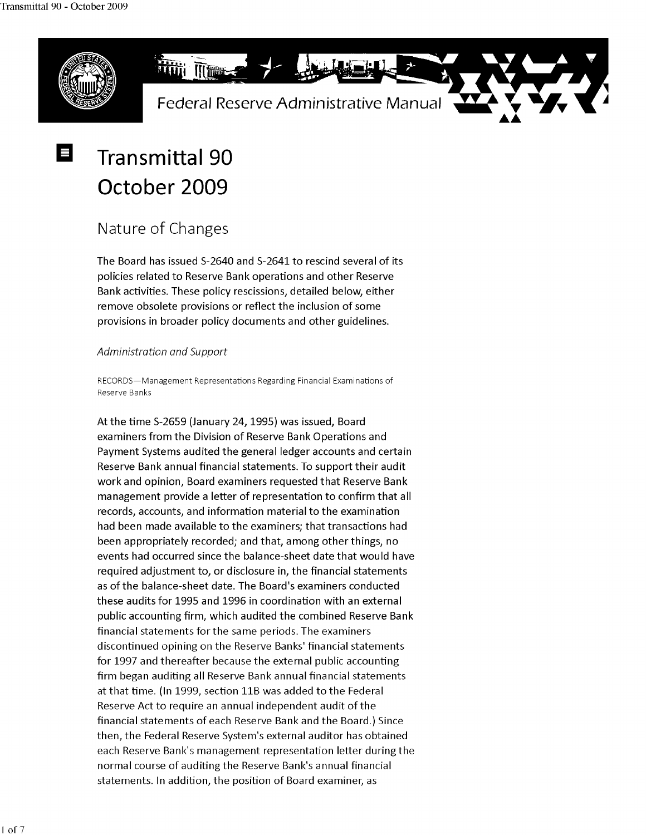

## **Transmittal 90 October 2009**

### Nature of Changes

The Board has issued 5-2640 and 5-2641 to rescind several of its policies related to Reserve Bank operations and other Reserve Bank activities. These policy rescissions, detailed below, either remove obsolete provisions or reflect the inclusion of some provisions in broader policy documents and other guidelines.

#### *Administration and Support*

RECORDS-Management Representations Regarding Financial Examinations of Reserve Banks

At the time 5-2659 (January 24, 1995) was issued, Board examiners from the Division of Reserve Bank Operations and Payment Systems audited the general ledger accounts and certain Reserve Bank annual financial statements. To support their audit work and opinion, Board examiners requested that Reserve Bank management provide a letter of representation to confirm that all records, accounts, and information material to the examination had been made available to the examiners; that transactions had been appropriately recorded; and that, among other things, no events had occurred since the balance-sheet date that would have required adjustment to, or disclosure in, the financial statements as of the balance-sheet date. The Board's examiners conducted these audits for 1995 and 1996 in coordination with an external public accounting firm, which audited the combined Reserve Bank financial statements for the same periods. The examiners discontinued opining on the Reserve Banks' financial statements for 1997 and thereafter because the external public accounting firm began auditing all Reserve Bank annual financial statements at that time. (In 1999, section 11B was added to the Federal Reserve Act to require an annual independent audit of the financial statements of each Reserve Bank and the Board.) Since then, the Federal Reserve System's external auditor has obtained each Reserve Bank's management representation letter during the normal course of auditing the Reserve Bank's annual financial statements. In addition, the position of Board examiner, as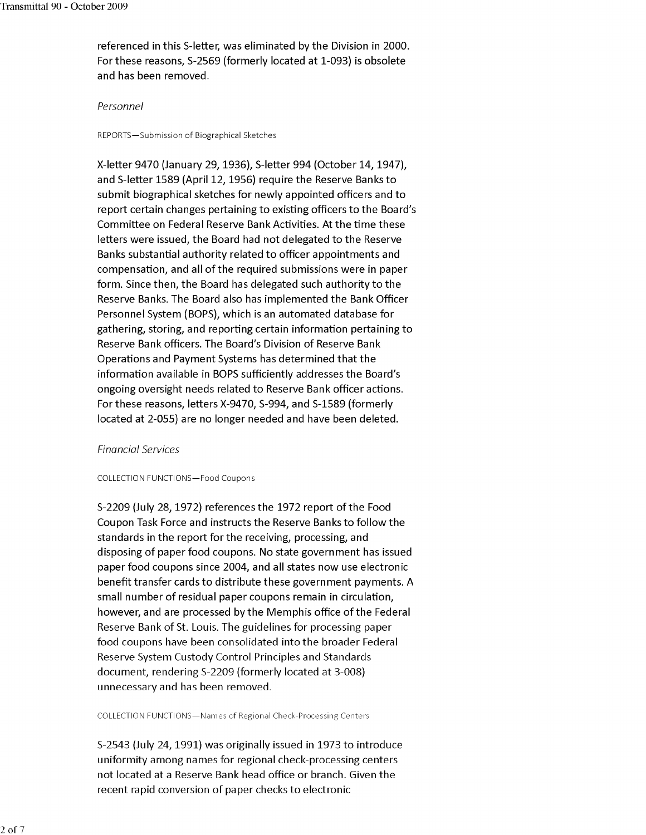referenced in this 5-letter, was eliminated by the Division in 2000. For these reasons, 5-2569 (formerly located at 1-093) is obsolete and has been removed.

#### Personnel

REPORTS-Submission of Biographical Sketches

X-letter 9470 (January 29, 1936), 5-letter 994 (October 14, 1947), and 5-letter 1589 (April 12, 1956) require the Reserve Banks to submit biographical sketches for newly appointed officers and to report certain changes pertaining to existing officers to the Board's Committee on Federal Reserve Bank Activities. At the time these letters were issued, the Board had not delegated to the Reserve Banks substantial authority related to officer appointments and compensation, and all of the required submissions were in paper form. Since then, the Board has delegated such authority to the Reserve Banks. The Board also has implemented the Bank Officer Personnel System (BOPS), which is an automated database for gathering, storing, and reporting certain information pertaining to Reserve Bank officers. The Board's Division of Reserve Bank Operations and Payment Systems has determined that the information available in BOPS sufficiently addresses the Board's ongoing oversight needs related to Reserve Bank officer actions. For these reasons, letters X-9470, 5-994, and 5-1589 (formerly located at 2-055) are no longer needed and have been deleted.

#### Financial Services

#### COLLECTION FUNCTIONS-Food Coupons

5-2209 (July 28, 1972) references the 1972 report of the Food Coupon Task Force and instructs the Reserve Banks to follow the standards in the report for the receiving, processing, and disposing of paper food coupons. No state government has issued paper food coupons since 2004, and all states now use electronic benefit transfer cards to distribute these government payments. A small number of residual paper coupons remain in circulation, however, and are processed by the Memphis office of the Federal Reserve Bank of St. Louis. The guidelines for processing paper food coupons have been consolidated into the broader Federal Reserve System Custody Control Principles and Standards document, rendering 5-2209 (formerly located at 3-008) unnecessary and has been removed.

COLLECTION FUNCTIONS-Names of Regional Check-Processing Centers

5-2543 (July 24, 1991) was originally issued in 1973 to introduce uniformity among names for regional check-processing centers not located at a Reserve Bank head office or branch. Given the recent rapid conversion of paper checks to electronic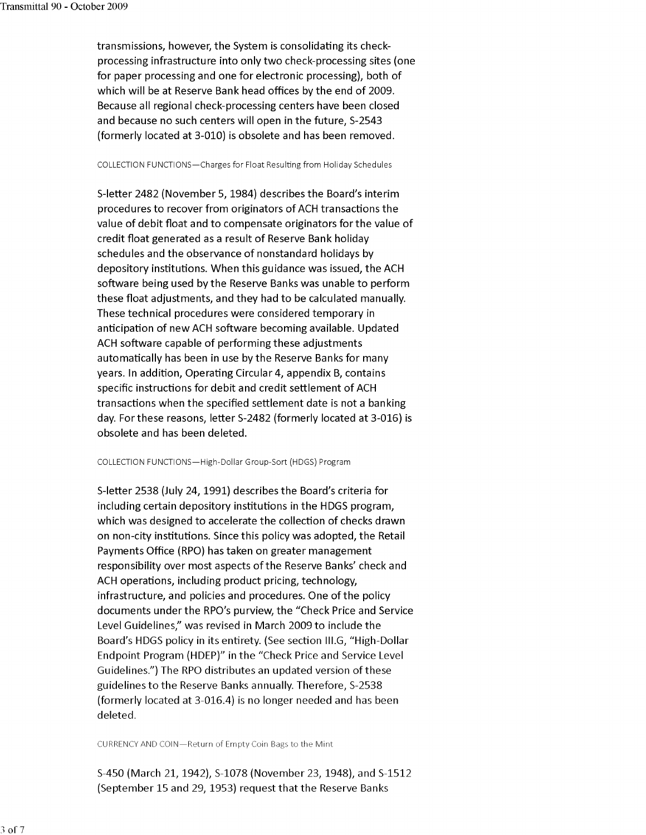transmissions, however, the System is consolidating its checkprocessing infrastructure into only two check-processing sites (one for paper processing and one for electronic processing), both of which will be at Reserve Bank head offices by the end of 2009. Because all regional check-processing centers have been closed and because no such centers will open in the future, 5-2543 (formerly located at 3-010) is obsolete and has been removed.

#### COLLECTION FUNCTIONS-Charges for Float Resulting from Holiday Schedules

5-letter 2482 (November 5, 1984) describes the Board's interim procedures to recover from originators of ACH transactions the value of debit float and to compensate originators for the value of credit float generated as a result of Reserve Bank holiday schedules and the observance of nonstandard holidays by depository institutions. When this guidance was issued, the ACH software being used by the Reserve Banks was unable to perform these float adjustments, and they had to be calculated manually. These technical procedures were considered temporary in anticipation of new ACH software becoming available. Updated ACH software capable of performing these adjustments automatically has been in use by the Reserve Banks for many years. In addition, Operating Circular 4, appendix B, contains specific instructions for debit and credit settlement of ACH transactions when the specified settlement date is not a banking day. For these reasons, letter 5-2482 (formerly located at 3-016) is obsolete and has been deleted.

#### COLLECTION FUNCTIONS-High-Dollar Group-Sort (HOGS) Program

5-letter 2538 (July 24, 1991) describes the Board's criteria for including certain depository institutions in the HOGS program, which was designed to accelerate the collection of checks drawn on non-city institutions. Since this policy was adopted, the Retail Payments Office (RPO) has taken on greater management responsibility over most aspects of the Reserve Banks' check and ACH operations, including product pricing, technology, infrastructure, and policies and procedures. One of the policy documents under the RPO's purview, the "Check Price and Service Level Guidelines," was revised in March 2009 to include the Board's HOGS policy in its entirety. (See section II1.G, "High-Dollar Endpoint Program (HDEP)" in the "Check Price and Service Level Guidelines.") The RPO distributes an updated version of these guidelines to the Reserve Banks annually. Therefore, 5-2538 (formerly located at 3-016.4) is no longer needed and has been deleted.

CURRENCY AND COIN-Return of Empty Coin Bags to the Mint

5-450 (March 21, 1942), 5-1078 (November 23, 1948), and 5-1512 (September 15 and 29, 1953) request that the Reserve Banks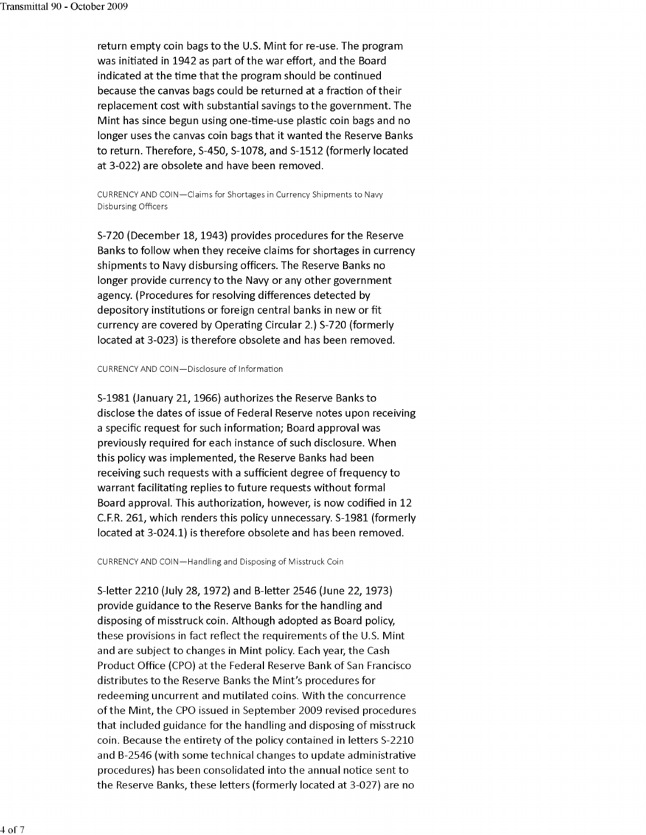return empty coin bags to the U.S. Mint for re-use. The program was initiated in 1942 as part of the war effort, and the Board indicated at the time that the program should be continued because the canvas bags could be returned at a fraction of their replacement cost with substantial savings to the government. The Mint has since begun using one-time-use plastic coin bags and no longer uses the canvas coin bags that it wanted the Reserve Banks to return. Therefore, 5-450, 5-1078, and 5-1512 (formerly located at 3-022) are obsolete and have been removed.

CURRENCY AND COIN-Claims for Shortages in Currency Shipments to Navy Disbursing Officers

5-720 (December 18, 1943) provides procedures for the Reserve Banks to follow when they receive claims for shortages in currency shipments to Navy disbursing officers. The Reserve Banks no longer provide currency to the Navy or any other government agency. (Procedures for resolving differences detected by depository institutions or foreign central banks in new or fit currency are covered by Operating Circular 2.) 5-720 (formerly located at 3-023) is therefore obsolete and has been removed.

#### CURRENCY AND COIN-Disclosure of Information

5-1981 (January 21, 1966) authorizes the Reserve Banks to disclose the dates of issue of Federal Reserve notes upon receiving a specific request for such information; Board approval was previously required for each instance of such disclosure. When this policy was implemented, the Reserve Banks had been receiving such requests with a sufficient degree of frequency to warrant facilitating replies to future requests without formal Board approval. This authorization, however, is now codified in 12 C.F.R. 261, which renders this policy unnecessary. 5-1981 (formerly located at 3-024.1) is therefore obsolete and has been removed.

CURRENCY AND COIN-Handling and Disposing of Misstruck Coin

5-letter 2210 (July 28, 1972) and B-letter 2546 (June 22, 1973) provide guidance to the Reserve Banks for the handling and disposing of misstruck coin. Although adopted as Board policy, these provisions in fact reflect the requirements of the U.S. Mint and are subject to changes in Mint policy. Each year, the Cash Product Office (CPO) at the Federal Reserve Bank of San Francisco distributes to the Reserve Banks the Mint's procedures for redeeming uncurrent and mutilated coins. With the concurrence of the Mint, the CPO issued in September 2009 revised procedures that included guidance for the handling and disposing of misstruck coin. Because the entirety of the policy contained in letters 5-2210 and B-2546 (with some technical changes to update administrative procedures) has been consolidated into the annual notice sent to the Reserve Banks, these letters (formerly located at 3-027) are no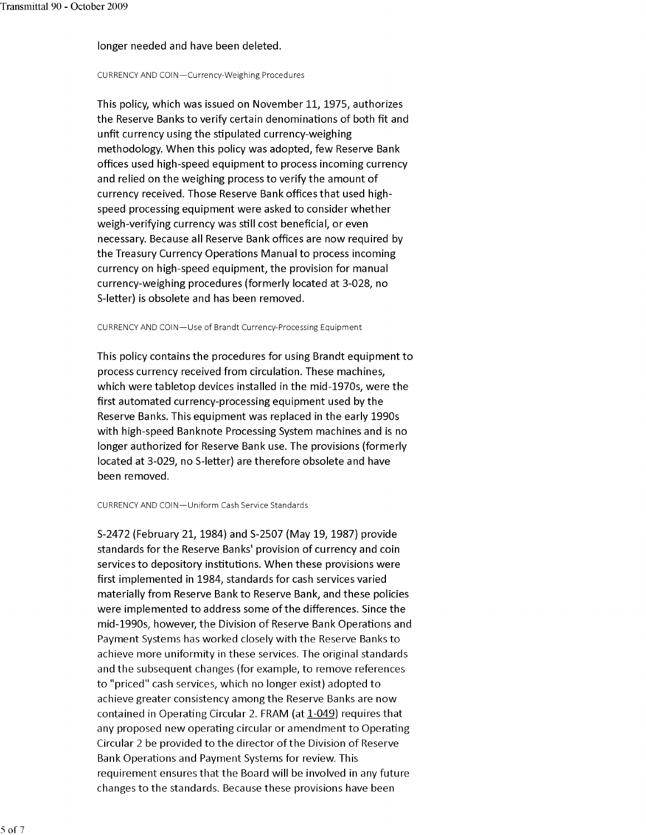#### longer needed and have been deleted.

#### CURRENCY AND COIN-Currency-Weighing Procedures

This policy, which was issued on November 11, 1975, authorizes the Reserve Banks to verify certain denominations of both fit and unfit currency using the stipulated currency-weighing methodology. When this policy was adopted, few Reserve Bank offices used high-speed equipment to process incoming currency and relied on the weighing process to verify the amount of currency received. Those Reserve Bank offices that used highspeed processing equipment were asked to consider whether weigh-verifying currency was still cost beneficial, or even necessary. Because all Reserve Bank offices are now required by the Treasury Currency Operations Manual to process incoming currency on high-speed equipment, the provision for manual currency-weighing procedures (formerly located at 3-028, no 5-letter) is obsolete and has been removed.

CURRENCY AND COIN-Use of Brandt Currency-Processing Equipment

This policy contains the procedures for using Brandt equipment to process currency received from circulation. These machines, which were tabletop devices installed in the mid-1970s, were the first automated currency-processing equipment used by the Reserve Banks. This equipment was replaced in the early 1990s with high-speed Banknote Processing System machines and is no longer authorized for Reserve Bank use. The provisions (formerly located at 3-029, no 5-letter) are therefore obsolete and have been removed.

#### CURRENCY AND COIN-Uniform Cash Service Standards

5-2472 (February 21, 1984) and 5-2507 (May 19, 1987) provide standards for the Reserve Banks' provision of currency and coin services to depository institutions. When these provisions were first implemented in 1984, standards for cash services varied materially from Reserve Bank to Reserve Bank, and these policies were implemented to address some of the differences. Since the mid-1990s, however, the Division of Reserve Bank Operations and Payment Systems has worked closely with the Reserve Banks to achieve more uniformity in these services. The original standards and the subsequent changes (for example, to remove references to "priced" cash services, which no longer exist) adopted to achieve greater consistency among the Reserve Banks are now contained in Operating Circular 2. FRAM (at 1-049) requires that any proposed new operating circular or amendment to Operating Circular 2 be provided to the director of the Division of Reserve Bank Operations and Payment Systems for review. This requirement ensures that the Board will be involved in any future changes to the standards. Because these provisions have been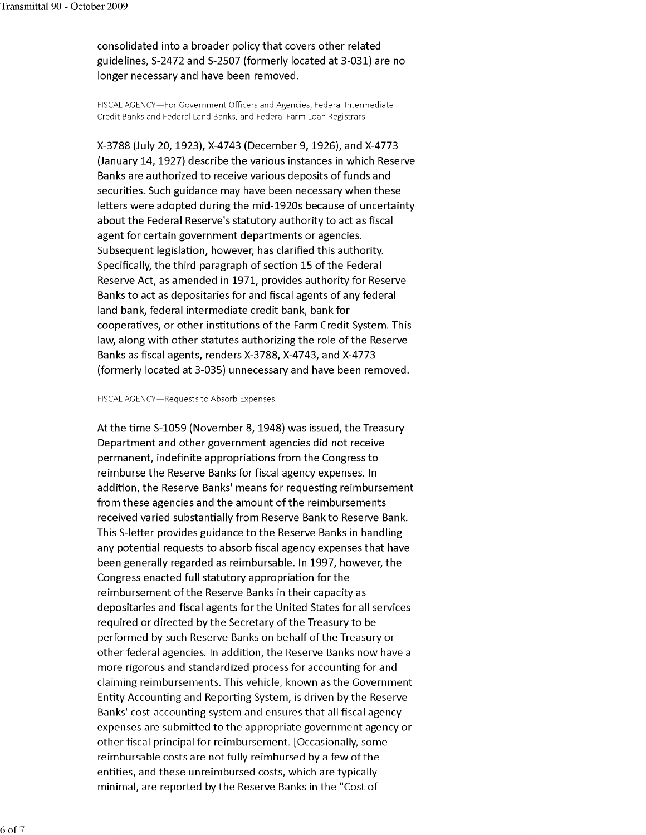consolidated into a broader policy that covers other related guidelines, 5-2472 and 5-2507 (formerly located at 3-031) are no longer necessary and have been removed.

FISCAL AGENCY-For Government Officers and Agencies, Federal Intermediate Credit Banks and Federal Land Banks, and Federal Farm Loan Registrars

X-3788 (July 20, 1923), X-4743 (December 9, 1926), and X-4773 (January 14, 1927) describe the various instances in which Reserve Banks are authorized to receive various deposits of funds and securities. Such guidance may have been necessary when these letters were adopted during the mid-1920s because of uncertainty about the Federal Reserve's statutory authority to act as fiscal agent for certain government departments or agencies. Subsequent legislation, however, has clarified this authority. Specifically, the third paragraph of section 15 of the Federal Reserve Act, as amended in 1971, provides authority for Reserve Banks to act as depositaries for and fiscal agents of any federal land bank, federal intermediate credit bank, bank for cooperatives, or other institutions of the Farm Credit System. This law, along with other statutes authorizing the role of the Reserve Banks as fiscal agents, renders X-3788, X-4743, and X-4773 (formerly located at 3-035) unnecessary and have been removed.

#### FISCAL AGENCY-Requests to Absorb Expenses

At the time 5-1059 (November 8, 1948) was issued, the Treasury Department and other government agencies did not receive permanent, indefinite appropriations from the Congress to reimburse the Reserve Banks for fiscal agency expenses. In addition, the Reserve Banks' means for requesting reimbursement from these agencies and the amount of the reimbursements received varied substantially from Reserve Bank to Reserve Bank. This 5-letter provides guidance to the Reserve Banks in handling any potential requests to absorb fiscal agency expenses that have been generally regarded as reimbursable. In 1997, however, the Congress enacted full statutory appropriation for the reimbursement of the Reserve Banks in their capacity as depositaries and fiscal agents for the United States for all services required or directed by the Secretary of the Treasury to be performed by such Reserve Banks on behalf of the Treasury or other federal agencies. In addition, the Reserve Banks now have a more rigorous and standardized process for accounting for and claiming reimbursements. This vehicle, known as the Government Entity Accounting and Reporting System, is driven by the Reserve Banks' cost-accounting system and ensures that all fiscal agency expenses are submitted to the appropriate government agency or other fiscal principal for reimbursement. [Occasionally, some reimbursable costs are not fully reimbursed by a few of the entities, and these unreimbursed costs, which are typically minimal, are reported by the Reserve Banks in the "Cost of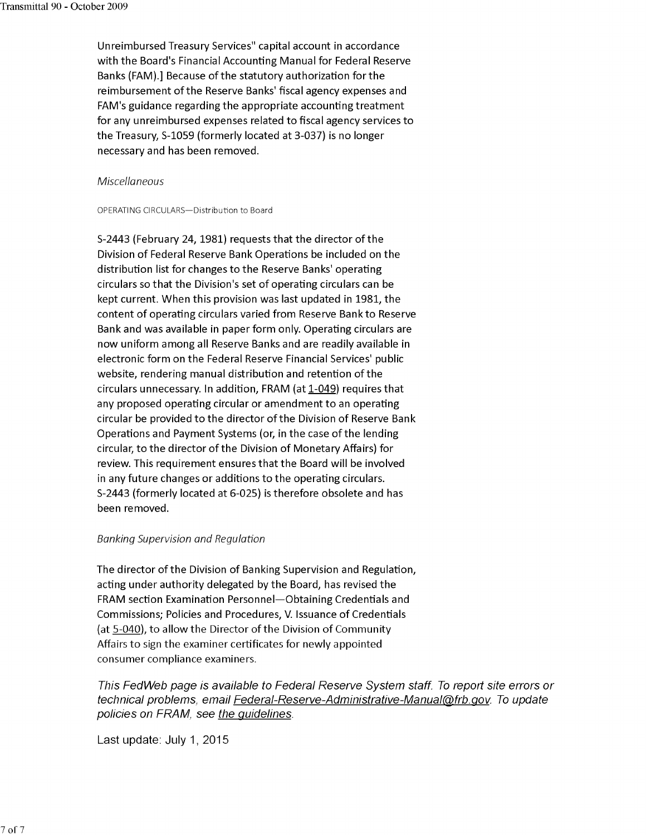Un reimbursed Treasury Services" capital account in accordance with the Board's Financial Accounting Manual for Federal Reserve Banks (FAM).] Because of the statutory authorization for the reimbursement of the Reserve Banks' fiscal agency expenses and FAM's guidance regarding the appropriate accounting treatment for any unreimbursed expenses related to fiscal agency services to the Treasury, 5-1059 (formerly located at 3-037) is no longer necessary and has been removed.

#### Miscellaneous

#### OPERATING CIRCULARS-Distribution to Board

5-2443 (February 24, 1981) requests that the director of the Division of Federal Reserve Bank Operations be included on the distribution list for changes to the Reserve Banks' operating circulars so that the Division's set of operating circulars can be kept current. When this provision was last updated in 1981, the content of operating circulars varied from Reserve Bank to Reserve Bank and was available in paper form only. Operating circulars are now uniform among all Reserve Banks and are readily available in electronic form on the Federal Reserve Financial Services' public website, rendering manual distribution and retention of the circulars unnecessary. In addition, FRAM (at 1-049) requires that any proposed operating circular or amendment to an operating circular be provided to the director of the Division of Reserve Bank Operations and Payment Systems (or, in the case of the lending circular, to the director of the Division of Monetary Affairs) for review. This requirement ensures that the Board will be involved in any future changes or additions to the operating circulars. 5-2443 (formerly located at 6-025) is therefore obsolete and has been removed.

#### Banking Supervision and Regulation

The director of the Division of Banking Supervision and Regulation, acting under authority delegated by the Board, has revised the FRAM section Examination Personnel-Obtaining Credentials and Commissions; Policies and Procedures, V. Issuance of Credentials (at 5-040), to allow the Director of the Division of Community Affairs to sign the examiner certificates for newly appointed consumer compliance examiners.

This FedWeb page is available to Federal Reserve System staff. To reporl site errors or technical problems, email Federal-Reserve-Administrative-Manual@frb.gov. To update policies on FRAM, see the quidelines.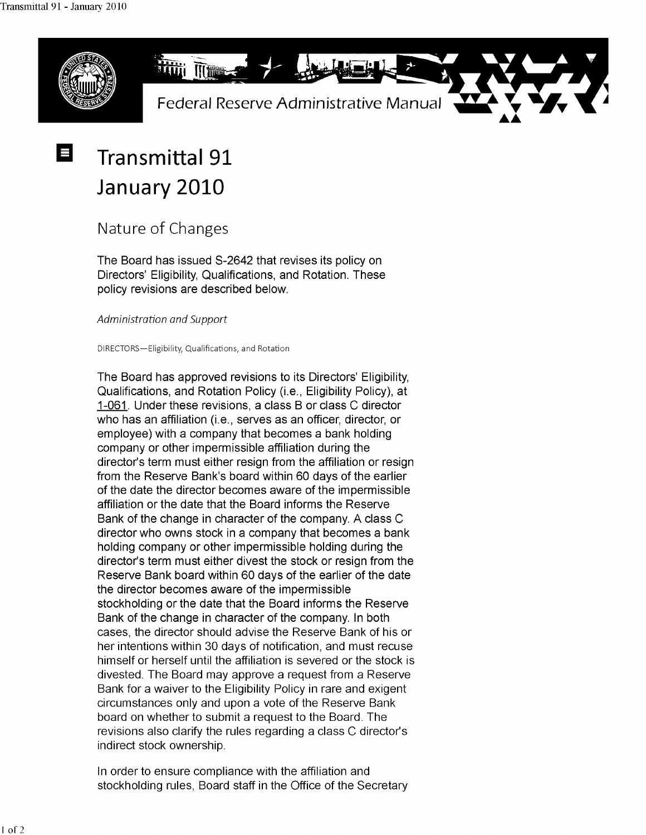Е



## **Transmittal 91 January 2010**

### Nature of Changes

The Board has issued S-2642 that revises its policy on Directors' Eligibility, Qualifications, and Rotation. These policy revisions are described below.

*Administration and Support* 

DIRECTORS-Eligibility, Qualifications, and Rotation

The Board has approved revisions to its Directors' Eligibility, Qualifications, and Rotation Policy (i.e., Eligibility Policy), at 1-061. Under these revisions, a class B or class C director who has an affiliation (i.e., serves as an officer, director, or employee) with a company that becomes a bank holding company or other impermissible affiliation during the director's term must either resign from the affiliation or resign from the Reserve Bank's board within 60 days of the earlier of the date the director becomes aware of the impermissible affiliation or the date that the Board informs the Reserve Bank of the change in character of the company. A class C director who owns stock in a company that becomes a bank holding company or other impermissible holding during the director's term must either divest the stock or resign from the Reserve Bank board within 60 days of the earlier of the date the director becomes aware of the impermissible stockholding or the date that the Board informs the Reserve Bank of the change in character of the company. In both cases, the director should advise the Reserve Bank of his or her intentions within 30 days of notification, and must recuse himself or herself until the affiliation is severed or the stock is divested. The Board may approve a request from a Reserve Bank for a waiver to the Eligibility Policy in rare and exigent circumstances only and upon a vote of the Reserve Bank board on whether to submit a request to the Board. The revisions also clarify the rules regarding a class C director's indirect stock ownership.

In order to ensure compliance with the affiliation and stockholding rules, Board staff in the Office of the Secretary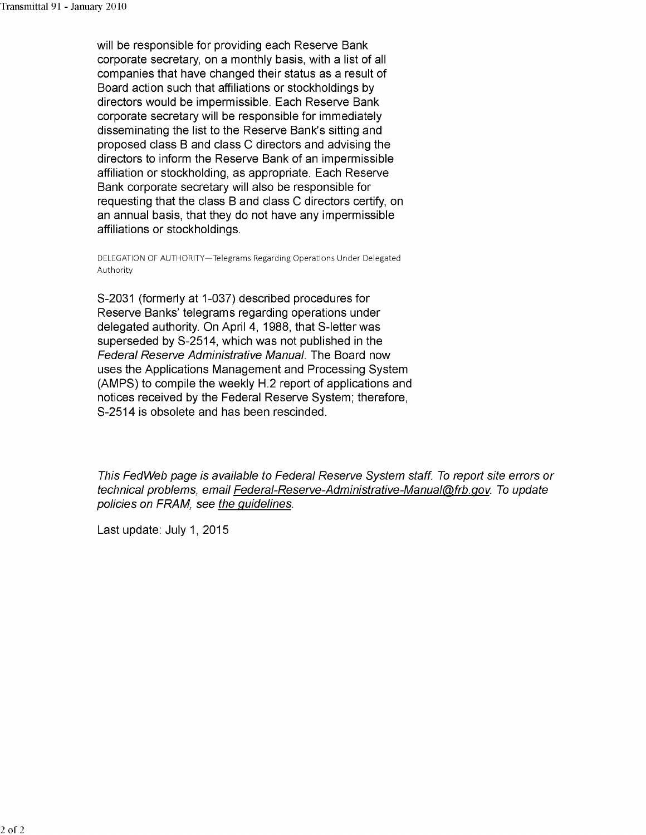will be responsible for providing each Reserve Bank corporate secretary, on a monthly basis, with a list of all companies that have changed their status as a result of Board action such that affiliations or stockholdings by directors would be impermissible. Each Reserve Bank corporate secretary will be responsible for immediately disseminating the list to the Reserve Bank's sitting and proposed class B and class C directors and advising the directors to inform the Reserve Bank of an impermissible affiliation or stockholding, as appropriate. Each Reserve Bank corporate secretary will also be responsible for requesting that the class B and class C directors certify, on an annual basis, that they do not have any impermissible affiliations or stockholdings.

DELEGATION OF AUTHORITY-Telegrams Regarding Operations Under Delegated Authority

S-2031 (formerly at 1-037) described procedures for Reserve Banks' telegrams regarding operations under delegated authority. On April 4, 1988, that S-letter was superseded by S-2514, which was not published in the Federal Reserve Administrative Manual. The Board now uses the Applications Management and Processing System (AMPS) to compile the weekly H.2 report of applications and notices received by the Federal Reserve System; therefore, S-2514 is obsolete and has been rescinded.

This FedWeb page is available to Federal Reserve System staff. To report site errors or technical problems, email Federal-Reserve-Administrative-Manual@frb.gov. To update policies on FRAM, see the guidelines.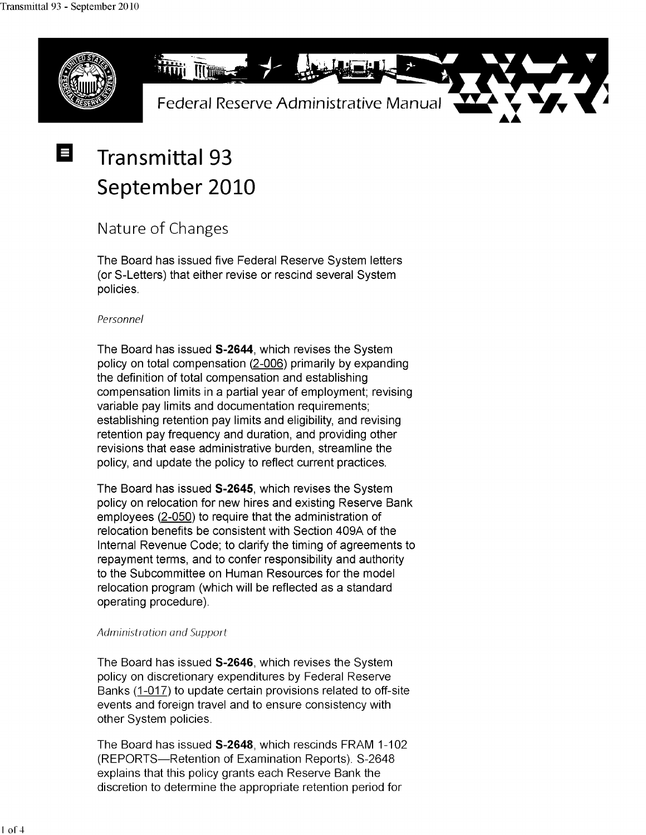$\equiv$ 



# **Transmittal 93 September 2010**

### Nature of Changes

The Board has issued five Federal Reserve System letters (or S-Letters) that either revise or rescind several System policies.

### Personnel

The Board has issued **S-2644,** which revises the System policy on total compensation (2-006) primarily by expanding the definition of total compensation and establishing compensation limits in a partial year of employment; revising variable pay limits and documentation requirements; establishing retention pay limits and eligibility, and revising retention pay frequency and duration, and providing other revisions that ease administrative burden, streamline the policy, and update the policy to reflect current practices.

The Board has issued **S-2645,** which revises the System policy on relocation for new hires and existing Reserve Bank employees (2-050) to require that the administration of relocation benefits be consistent with Section 409A of the Internal Revenue Code; to clarify the timing of agreements to repayment terms, and to confer responsibility and authority to the Subcommittee on Human Resources for the model relocation program (which will be reflected as a standard operating procedure).

### Administration and Support

The Board has issued **S-2646,** which revises the System policy on discretionary expenditures by Federal Reserve Banks (1-017) to update certain provisions related to off-site events and foreign travel and to ensure consistency with other System policies.

The Board has issued **S-2648,** which rescinds FRAM 1-102 (REPORTS-Retention of Examination Reports). S-2648 explains that this policy grants each Reserve Bank the discretion to determine the appropriate retention period for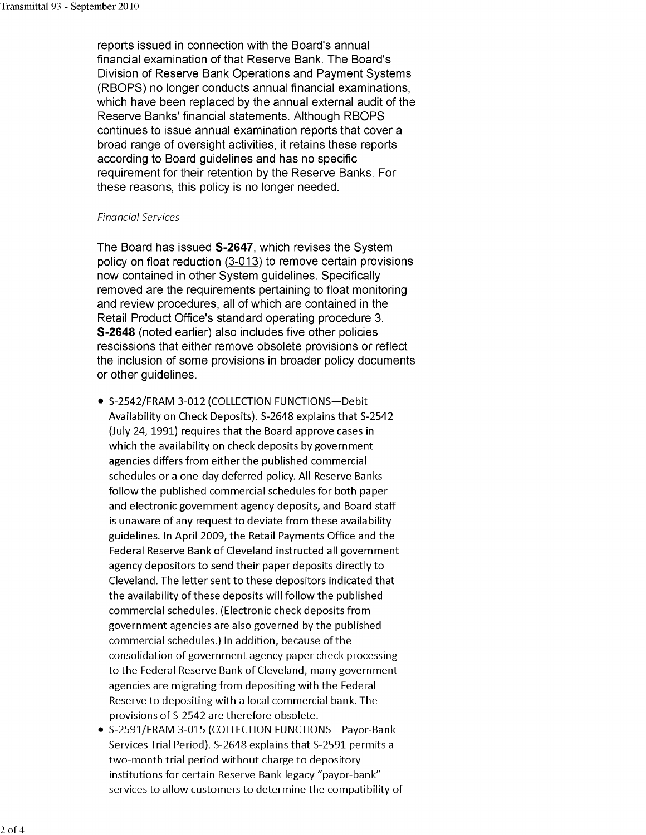reports issued in connection with the Board's annual financial examination of that Reserve Bank. The Board's Division of Reserve Bank Operations and Payment Systems (RBOPS) no longer conducts annual financial examinations, which have been replaced by the annual external audit of the Reserve Banks' financial statements. Although RBOPS continues to issue annual examination reports that cover a broad range of oversight activities, it retains these reports according to Board guidelines and has no specific requirement for their retention by the Reserve Banks. For these reasons, this policy is no longer needed.

#### Financial Services

The Board has issued **S-2647,** which revises the System policy on float reduction (3-013) to remove certain provisions now contained in other System guidelines. Specifically removed are the requirements pertaining to float monitoring and review procedures, all of which are contained in the Retail Product Office's standard operating procedure 3. **S-2648** (noted earlier) also includes five other policies rescissions that either remove obsolete provisions or reflect the inclusion of some provisions in broader policy documents or other guidelines.

- 5-2542/FRAM 3-012 (COLLECTION FUNCTIONS-Debit Availability on Check Deposits). 5-2648 explains that 5-2542 (July 24, 1991) requires that the Board approve cases in which the availability on check deposits by government agencies differs from either the published commercial schedules or a one-day deferred policy. All Reserve Banks follow the published commercial schedules for both paper and electronic government agency deposits, and Board staff is unaware of any request to deviate from these availability guidelines. In April 2009, the Retail Payments Office and the Federal Reserve Bank of Cleveland instructed all government agency depositors to send their paper deposits directly to Cleveland. The letter sent to these depositors indicated that the availability of these deposits will follow the published commercial schedules. (Electronic check deposits from government agencies are also governed by the published commercial schedules.) In addition, because of the consolidation of government agency paper check processing to the Federal Reserve Bank of Cleveland, many government agencies are migrating from depositing with the Federal Reserve to depositing with a local commercial bank. The provisions of 5-2542 are therefore obsolete.
- S-2591/FRAM 3-015 (COLLECTION FUNCTIONS-Payor-Bank Services Trial Period). 5-2648 explains that 5-2591 permits a two-month trial period without charge to depository institutions for certain Reserve Bank legacy "payor-bank" services to allow customers to determine the compatibility of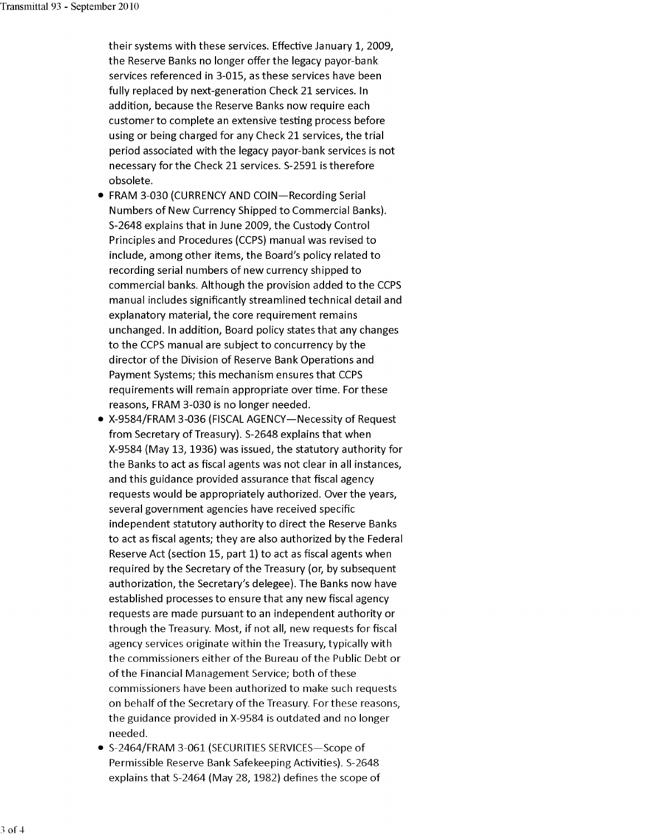- their systems with these services. Effective January 1, 2009, the Reserve Banks no longer offer the legacy payor-bank services referenced in 3-015, as these services have been fully replaced by next-generation Check 21 services. In addition, because the Reserve Banks now require each customer to complete an extensive testing process before using or being charged for any Check 21 services, the trial period associated with the legacy payor-bank services is not necessary for the Check 21 services. 5-2591 is therefore obsolete.
- FRAM 3-030 (CURRENCY AND COIN-Recording Serial Numbers of New Currency Shipped to Commercial Banks). 5-2648 explains that in June 2009, the Custody Control Principles and Procedures (CCPS) manual was revised to include, among other items, the Board's policy related to recording serial numbers of new currency shipped to commercial banks. Although the provision added to the CCPS manual includes significantly streamlined technical detail and explanatory material, the core requirement remains unchanged. In addition, Board policy states that any changes to the CCPS manual are subject to concurrency by the director of the Division of Reserve Bank Operations and Payment Systems; this mechanism ensures that CCPS requirements will remain appropriate over time. For these reasons, FRAM 3-030 is no longer needed.
- X-9584/FRAM 3-036 (FISCAL AGENCY-Necessity of Request from Secretary of Treasury). 5-2648 explains that when X-9584 (May 13, 1936) was issued, the statutory authority for the Banks to act as fiscal agents was not clear in all instances, and this guidance provided assurance that fiscal agency requests would be appropriately authorized. Over the years, several government agencies have received specific independent statutory authority to direct the Reserve Banks to act as fiscal agents; they are also authorized by the Federal Reserve Act (section 15, part 1) to act as fiscal agents when required by the Secretary of the Treasury (or, by subsequent authorization, the Secretary's delegee). The Banks now have established processes to ensure that any new fiscal agency requests are made pursuant to an independent authority or through the Treasury. Most, if not all, new requests for fiscal agency services originate within the Treasury, typically with the commissioners either of the Bureau of the Public Debt or of the Financial Management Service; both of these commissioners have been authorized to make such requests on behalf of the Secretary of the Treasury. For these reasons, the guidance provided in X-9584 is outdated and no longer needed.
- S-2464/FRAM 3-061 (SECURITIES SERVICES-Scope of Permissible Reserve Bank Safekeeping Activities). 5-2648 explains that 5-2464 (May 28, 1982) defines the scope of